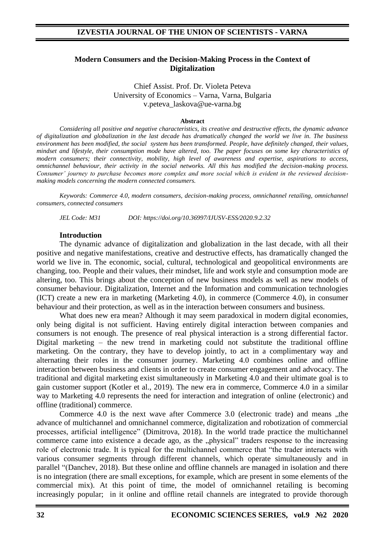### **Modern Consumers and the Decision-Making Process in the Context of Digitalization**

Chief Assist. Prof. Dr. Violeta Peteva University of Economics – Varna, Varna, Bulgaria v.peteva\_laskova@ue-varna.bg

#### **Abstract**

*Considering all positive and negative characteristics, its creative and destructive effects, the dynamic advance of digitalization and globalization in the last decade has dramatically changed the world we live in. The business environment has been modified, the social system has been transformed. People, have definitely changed, their values, mindset and lifestyle, their consumption mode have altered, too. The paper focuses on some key characteristics of modern consumers; their connectivity, mobility, high level of awareness and expertise, aspirations to access, omnichannel behaviour, their activity in the social networks. All this has modified the decision-making process. Consumer' journey to purchase becomes more complex and more social which is evident in the reviewed decisionmaking models concerning the modern connected consumers.* 

*Keywords: Commerce 4.0, modern consumers, decision-making process, omnichannel retailing, omnichannel consumers, connected consumers* 

*JEL Code: M31 DOI: https://doi.org/10.36997/IJUSV-ESS/2020.9.2.32*

#### **Introduction**

The dynamic advance of digitalization and globalization in the last decade, with all their positive and negative manifestations, creative and destructive effects, has dramatically changed the world we live in. The economic, social, cultural, technological and geopolitical environments are changing, too. People and their values, their mindset, life and work style and consumption mode are altering, too. This brings about the conception of new business models as well as new models of consumer behaviour. Digitalization, Internet and the Information and communication technologies (ICT) create a new era in marketing (Marketing 4.0), in commerce (Commerce 4.0), in consumer behaviour and their protection, as well as in the interaction between consumers and business.

What does new era mean? Although it may seem paradoxical in modern digital economies, only being digital is not sufficient. Having entirely digital interaction between companies and consumers is not enough. The presence of real physical interaction is a strong differential factor. Digital marketing – the new trend in marketing could not substitute the traditional offline marketing. On the contrary, they have to develop jointly, to act in a complimentary way and alternating their roles in the consumer journey. Marketing 4.0 combines online and offline interaction between business and clients in order to create consumer engagement and advocacy. The traditional and digital marketing exist simultaneously in Marketing 4.0 and their ultimate goal is to gain customer support (Kotler et al., 2019). The new era in commerce, Commerce 4.0 in a similar way to Marketing 4.0 represents the need for interaction and integration of online (electronic) and offline (traditional) commerce.

Commerce  $4.0$  is the next wave after Commerce  $3.0$  (electronic trade) and means "the advance of multichannel and omnichannel commerce, digitalization and robotization of commercial processes, artificial intelligence" (Dimitrova, 2018). In the world trade practice the multichannel commerce came into existence a decade ago, as the "physical" traders response to the increasing role of electronic trade. It is typical for the multichannel commerce that "the trader interacts with various consumer segments through different channels, which operate simultaneously and in parallel "(Danchev, 2018). But these online and offline channels are managed in isolation and there is no integration (there are small exceptions, for example, which are present in some elements of the commercial mix). At this point of time, the model of omnichannel retailing is becoming increasingly popular; in it online and offline retail channels are integrated to provide thorough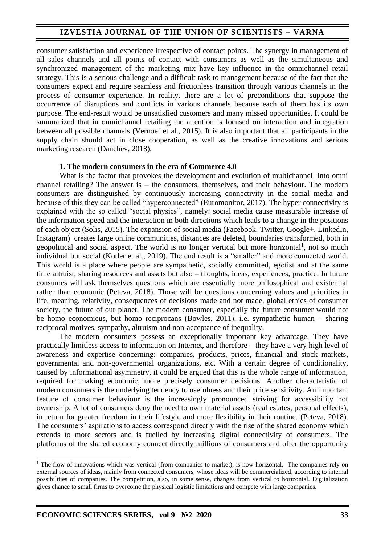# **IZVESTIA JOURNAL OF THE UNION OF SCIENTISTS – VARNA**

consumer satisfaction and experience irrespective of contact points. The synergy in management of all sales channels and all points of contact with consumers as well as the simultaneous and synchronized management of the marketing mix have key influence in the omnichannel retail strategy. This is a serious challenge and a difficult task to management because of the fact that the consumers expect and require seamless and frictionless transition through various channels in the process of consumer experience. In reality, there are a lot of preconditions that suppose the occurrence of disruptions and conflicts in various channels because each of them has its own purpose. The end-result would be unsatisfied customers and many missed opportunities. It could be summarized that in omnichannel retailing the attention is focused on interaction and integration between all possible channels (Vernoef et al., 2015). It is also important that all participants in the supply chain should act in close cooperation, as well as the creative innovations and serious marketing research (Danchev, 2018).

#### **1. The modern consumers in the era of Commerce 4.0**

What is the factor that provokes the development and evolution of multichannel into omni channel retailing? The answer is – the consumers, themselves, and their behaviour. The modern consumers are distinguished by continuously increasing connectivity in the social media and because of this they can be called "hyperconnected" (Euromonitor, 2017). The hyper connectivity is explained with the so called "social physics", namely: social media cause measurable increase of the information speed and the interaction in both directions which leads to a change in the positions of each object (Solis, 2015). The expansion of social media (Facebook, Twitter, Google+, LinkedIn, Instagram) creates large online communities, distances are deleted, boundaries transformed, both in geopolitical and social aspect. The world is no longer vertical but more horizontal<sup>1</sup>, not so much individual but social (Kotler et al., 2019). The end result is a "smaller" and more connected world. This world is a place where people are sympathetic, socially committed, egotist and at the same time altruist, sharing resources and assets but also – thoughts, ideas, experiences, practice. In future consumes will ask themselves questions which are essentially more philosophical and existential rather than economic (Peteva, 2018). Those will be questions concerning values and priorities in life, meaning, relativity, consequences of decisions made and not made, global ethics of consumer society, the future of our planet. The modern consumer, especially the future consumer would not be homo economicus, but homo reciprocans (Bowles, 2011), i.e. sympathetic human – sharing reciprocal motives, sympathy, altruism and non-acceptance of inequality.

The modern consumers possess an exceptionally important key advantage. They have practically limitless access to information on Internet, and therefore – they have a very high level of awareness and expertise concerning: companies, products, prices, financial and stock markets, governmental and non-governmental organizations, etc. With a certain degree of conditionality, caused by informational asymmetry, it could be argued that this is the whole range of information, required for making economic, more precisely consumer decisions. Another characteristic of modern consumers is the underlying tendency to usefulness and their price sensitivity. An important feature of consumer behaviour is the increasingly pronounced striving for accessibility not ownership. A lot of consumers deny the need to own material assets (real estates, personal effects), in return for greater freedom in their lifestyle and more flexibility in their routine. (Peteva, 2018). The consumers' aspirations to access correspond directly with the rise of the shared economy which extends to more sectors and is fuelled by increasing digital connectivity of consumers. The platforms of the shared economy connect directly millions of consumers and offer the opportunity

<sup>&</sup>lt;sup>1</sup> The flow of innovations which was vertical (from companies to market), is now horizontal. The companies rely on external sources of ideas, mainly from connected consumers, whose ideas will be commercialized, according to internal possibilities of companies. The competition, also, in some sense, changes from vertical to horizontal. Digitalization gives chance to small firms to overcome the physical logistic limitations and compete with large companies.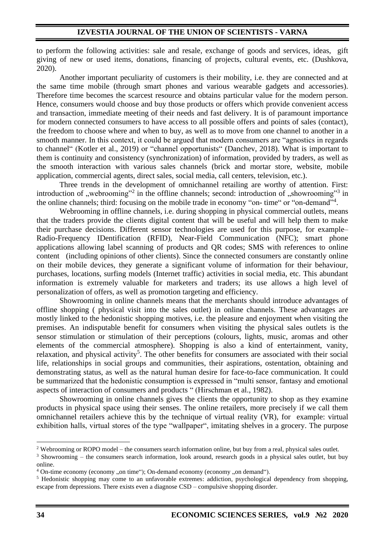to perform the following activities: sale and resale, exchange of goods and services, ideas, gift giving of new or used items, donations, financing of projects, cultural events, etc. (Dushkova, 2020).

Another important peculiarity of customers is their mobility, i.e. they are connected and at the same time mobile (through smart phones and various wearable gadgets and accessories). Therefore time becomes the scarcest resource and obtains particular value for the modern person. Hence, consumers would choose and buy those products or offers which provide convenient access and transaction, immediate meeting of their needs and fast delivery. It is of paramount importance for modern connected consumers to have access to all possible offers and points of sales (contact), the freedom to choose where and when to buy, as well as to move from one channel to another in a smooth manner. In this context, it could be argued that modern consumers are "agnostics in regards to channel" (Kotler et al., 2019) or "channel opportunists" (Danchev, 2018). What is important to them is continuity and consistency (synchronization) of information, provided by traders, as well as the smooth interaction with various sales channels (brick and mortar store, website, mobile application, commercial agents, direct sales, social media, call centers, television, etc.).

Three trends in the development of omnichannel retailing are worthy of attention. First: introduction of "webrooming"<sup>2</sup> in the offline channels; second: introduction of "showrooming"<sup>3</sup> in the online channels; third: focusing on the mobile trade in economy "on- time" or "on-demand"<sup>4</sup>.

Webrooming in offline channels, i.e. during shopping in physical commercial outlets, means that the traders provide the clients digital content that will be useful and will help them to make their purchase decisions. Different sensor technologies are used for this purpose, for example– Radio-Frequency IDentification (RFID), Near-Field Communication (NFC); smart phone applications allowing label scanning of products and QR codes; SMS with references to online content (including opinions of other clients). Since the connected consumers are constantly online on their mobile devices, they generate a significant volume of information for their behaviour, purchases, locations, surfing models (Internet traffic) activities in social media, etc. This abundant information is extremely valuable for marketers and traders; its use allows a high level of personalization of offers, as well as promotion targeting and efficiency.

Showrooming in online channels means that the merchants should introduce advantages of offline shopping ( physical visit into the sales outlet) in online channels. These advantages are mostly linked to the hedonistic shopping motives, i.e. the pleasure and enjoyment when visiting the premises. An indisputable benefit for consumers when visiting the physical sales outlets is the sensor stimulation or stimulation of their perceptions (colours, lights, music, aromas and other elements of the commercial atmosphere). Shopping is also a kind of entertainment, vanity, relaxation, and physical activity<sup>5</sup>. The other benefits for consumers are associated with their social life, relationships in social groups and communities, their aspirations, ostentation, obtaining and demonstrating status, as well as the natural human desire for face-to-face communication. It could be summarized that the hedonistic consumption is expressed in "multi sensor, fantasy and emotional aspects of interaction of consumers and products " (Hirschman et al., 1982).

Showrooming in online channels gives the clients the opportunity to shop as they examine products in physical space using their senses. The online retailers, more precisely if we call them omnichannel retailers achieve this by the technique of virtual reality (VR), for example: virtual exhibition halls, virtual stores of the type "wallpaper", imitating shelves in a grocery. The purpose

 $2$  Webrooming or ROPO model – the consumers search information online, but buy from a real, physical sales outlet.

<sup>&</sup>lt;sup>3</sup> Showrooming – the consumers search information, look around, research goods in a physical sales outlet, but buy online.

 $4$  On-time economy (economy ..., on time"); On-demand economy (economy ..., on demand").

<sup>5</sup> Hedonistic shopping may come to an unfavorable extremes: addiction, psychological dependency from shopping, escape from depressions. There exists even a diagnose CSD – compulsive shopping disorder.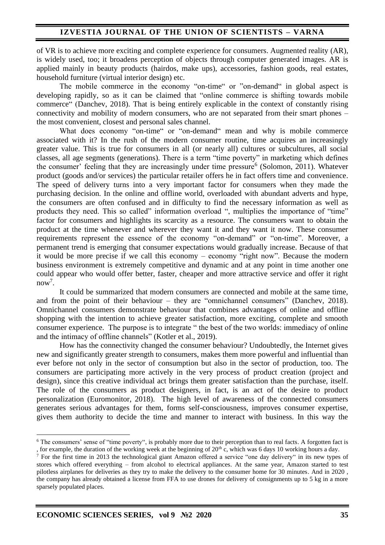of VR is to achieve more exciting and complete experience for consumers. Augmented reality (AR), is widely used, too; it broadens perception of objects through computer generated images. AR is applied mainly in beauty products (hairdos, make ups), accessories, fashion goods, real estates, household furniture (virtual interior design) etc.

The mobile commerce in the economy "on-time" or "on-demand" in global aspect is developing rapidly, so as it can be claimed that "online commerce is shifting towards mobile commerce" (Danchev, 2018). That is being entirely explicable in the context of constantly rising connectivity and mobility of modern consumers, who are not separated from their smart phones – the most convenient, closest and personal sales channel.

What does economy "on-time" or "on-demand" mean and why is mobile commerce associated with it? In the rush of the modern consumer routine, time acquires an increasingly greater value. This is true for consumers in all (or nearly all) cultures or subcultures, all social classes, all age segments (generations). There is a term "time poverty" in marketing which defines the consumer' feeling that they are increasingly under time pressure<sup>6</sup> (Solomon, 2011). Whatever product (goods and/or services) the particular retailer offers he in fact offers time and convenience. The speed of delivery turns into a very important factor for consumers when they made the purchasing decision. In the online and offline world, overloaded with abundant adverts and hype, the consumers are often confused and in difficulty to find the necessary information as well as products they need. This so called" information overload ", multiplies the importance of "time" factor for consumers and highlights its scarcity as a resource. The consumers want to obtain the product at the time whenever and wherever they want it and they want it now. These consumer requirements represent the essence of the economy "on-demand" or "on-time". Moreover, a permanent trend is emerging that consumer expectations would gradually increase. Because of that it would be more precise if we call this economy – economy "right now". Because the modern business environment is extremely competitive and dynamic and at any point in time another one could appear who would offer better, faster, cheaper and more attractive service and offer it right  $now^7$ .

It could be summarized that modern consumers are connected and mobile at the same time, and from the point of their behaviour – they are "omnichannel consumers" (Danchev, 2018). Omnichannel consumers demonstrate behaviour that combines advantages of online and offline shopping with the intention to achieve greater satisfaction, more exciting, complete and smooth consumer experience. The purpose is to integrate " the best of the two worlds: immediacy of online and the intimacy of offline channels" (Kotler et al., 2019).

How has the connectivity changed the consumer behaviour? Undoubtedly, the Internet gives new and significantly greater strength to consumers, makes them more powerful and influential than ever before not only in the sector of consumption but also in the sector of production, too. The consumers are participating more actively in the very process of product creation (project and design), since this creative individual act brings them greater satisfaction than the purchase, itself. The role of the consumers as product designers, in fact, is an act of the desire to product personalization (Euromonitor, 2018). The high level of awareness of the connected consumers generates serious advantages for them, forms self-consciousness, improves consumer expertise, gives them authority to decide the time and manner to interact with business. In this way the

<sup>&</sup>lt;sup>6</sup> The consumers' sense of "time poverty", is probably more due to their perception than to real facts. A forgotten fact is , for example, the duration of the working week at the beginning of  $20<sup>th</sup>$  c, which was 6 days 10 working hours a day.

 $7$  For the first time in 2013 the technological giant Amazon offered a service "one day delivery" in its new types of stores which offered everything – from alcohol to electrical appliances. At the same year, Amazon started to test pilotless airplanes for deliveries as they try to make the delivery to the consumer home for 30 minutes. And in 2020 , the company has already obtained a license from FFA to use drones for delivery of consignments up to 5 kg in a more sparsely populated places.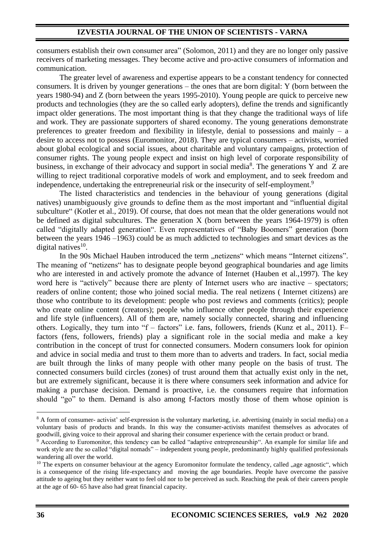consumers establish their own consumer area" (Solomon, 2011) and they are no longer only passive receivers of marketing messages. They become active and pro-active consumers of information and communication.

The greater level of awareness and expertise appears to be a constant tendency for connected consumers. It is driven by younger generations – the ones that are born digital: Y (born between the years 1980-94) and Z (born between the years 1995-2010). Young people are quick to perceive new products and technologies (they are the so called early adopters), define the trends and significantly impact older generations. The most important thing is that they change the traditional ways of life and work. They are passionate supporters of shared economy. The young generations demonstrate preferences to greater freedom and flexibility in lifestyle, denial to possessions and mainly – a desire to access not to possess (Euromonitor, 2018). They are typical consumers – activists, worried about global ecological and social issues, about charitable and voluntary campaigns, protection of consumer rights. The young people expect and insist on high level of corporate responsibility of business, in exchange of their advocacy and support in social media<sup>8</sup>. The generations Y and Z are willing to reject traditional corporative models of work and employment, and to seek freedom and independence, undertaking the entrepreneurial risk or the insecurity of self-employment.<sup>9</sup>

The listed characteristics and tendencies in the behaviour of young generations (digital natives) unambiguously give grounds to define them as the most important and "influential digital subculture" (Kotler et al., 2019). Of course, that does not mean that the older generations would not be defined as digital subcultures. The generation X (born between the years 1964-1979) is often called "digitally adapted generation". Even representatives of "Baby Boomers" generation (born between the years 1946 –1963) could be as much addicted to technologies and smart devices as the digital natives $^{10}$ .

In the 90s Michael Hauben introduced the term "netizens" which means "Internet citizens". The meaning of "netizens" has to designate people beyond geographical boundaries and age limits who are interested in and actively promote the advance of Internet (Hauben et al.,1997). The key word here is "actively" because there are plenty of Internet users who are inactive – spectators; readers of online content; those who joined social media. The real netizens ( Internet citizens) are those who contribute to its development: people who post reviews and comments (critics); people who create online content (creators); people who influence other people through their experience and life style (influencers). All of them are, namely socially connected, sharing and influencing others. Logically, they turn into "f – factors" i.e. fans, followers, friends (Kunz et al., 2011). F– factors (fens, followers, friends) play a significant role in the social media and make a key contribution in the concept of trust for connected consumers. Modern consumers look for opinion and advice in social media and trust to them more than to adverts and traders. In fact, social media are built through the links of many people with other many people on the basis of trust. The connected consumers build circles (zones) of trust around them that actually exist only in the net, but are extremely significant, because it is there where consumers seek information and advice for making a purchase decision. Demand is proactive, i.e. the consumers require that information should "go" to them. Demand is also among f-factors mostly those of them whose opinion is

<sup>8</sup> A form of consumer- activist' self-expression is the voluntary marketing, i.e. advertising (mainly in social media) on a voluntary basis of products and brands. In this way the consumer-activists manifest themselves as advocates of goodwill, giving voice to their approval and sharing their consumer experience with the certain product or brand.

<sup>&</sup>lt;sup>9</sup> According to Euromonitor, this tendency can be called "adaptive entrepreneurship". An example for similar life and work style are the so called "digital nomads" – independent young people, predominantly highly qualified professionals wandering all over the world.

 $10$  The experts on consumer behaviour at the agency Euromonitor formulate the tendency, called "age agnostic", which is a consequence of the rising life-expectancy and moving the age boundaries. People have overcome the passive attitude to ageing but they neither want to feel old nor to be perceived as such. Reaching the peak of their careers people at the age of 60- 65 have also had great financial capacity.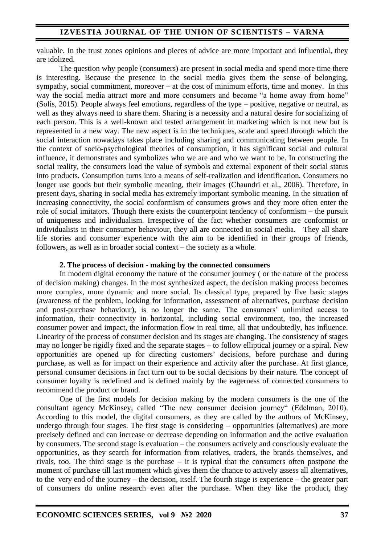valuable. In the trust zones opinions and pieces of advice are more important and influential, they are idolized.

The question why people (consumers) are present in social media and spend more time there is interesting. Because the presence in the social media gives them the sense of belonging, sympathy, social commitment, moreover – at the cost of minimum efforts, time and money. In this way the social media attract more and more consumers and become "a home away from home" (Solis, 2015). People always feel emotions, regardless of the type – positive, negative or neutral, as well as they always need to share them. Sharing is a necessity and a natural desire for socializing of each person. This is a well-known and tested arrangement in marketing which is not new but is represented in a new way. The new aspect is in the techniques, scale and speed through which the social interaction nowadays takes place including sharing and communicating between people. In the context of socio-psychological theories of consumption, it has significant social and cultural influence, it demonstrates and symbolizes who we are and who we want to be. In constructing the social reality, the consumers load the value of symbols and external exponent of their social status into products. Consumption turns into a means of self-realization and identification. Consumers no longer use goods but their symbolic meaning, their images (Chaundri et al., 2006). Therefore, in present days, sharing in social media has extremely important symbolic meaning. In the situation of increasing connectivity, the social conformism of consumers grows and they more often enter the role of social imitators. Though there exists the counterpoint tendency of conformism – the pursuit of uniqueness and individualism. Irrespective of the fact whether consumers are conformist or individualists in their consumer behaviour, they all are connected in social media. They all share life stories and consumer experience with the aim to be identified in their groups of friends, followers, as well as in broader social context – the society as a whole.

## **2. The process of decision** - **making by the connected consumers**

In modern digital economy the nature of the consumer journey ( or the nature of the process of decision making) changes. In the most synthesized aspect, the decision making process becomes more complex, more dynamic and more social. Its classical type, prepared by five basic stages (awareness of the problem, looking for information, assessment of alternatives, purchase decision and post-purchase behaviour), is no longer the same. The consumers' unlimited access to information, their connectivity in horizontal, including social environment, too, the increased consumer power and impact, the information flow in real time, all that undoubtedly, has influence. Linearity of the process of consumer decision and its stages are changing. The consistency of stages may no longer be rigidly fixed and the separate stages – to follow elliptical journey or a spiral. New opportunities are opened up for directing customers' decisions, before purchase and during purchase, as well as for impact on their experience and activity after the purchase. At first glance, personal consumer decisions in fact turn out to be social decisions by their nature. The concept of consumer loyalty is redefined and is defined mainly by the eagerness of connected consumers to recommend the product or brand.

One of the first models for decision making by the modern consumers is the one of the consultant agency McKinsey, called "The new consumer decision journey" (Edelman, 2010). According to this model, the digital consumers, as they are called by the authors of McKinsey, undergo through four stages. The first stage is considering – opportunities (alternatives) are more precisely defined and can increase or decrease depending on information and the active evaluation by consumers. The second stage is evaluation – the consumers actively and consciously evaluate the opportunities, as they search for information from relatives, traders, the brands themselves, and rivals, too. The third stage is the purchase – it is typical that the consumers often postpone the moment of purchase till last moment which gives them the chance to actively assess all alternatives, to the very end of the journey – the decision, itself. The fourth stage is experience – the greater part of consumers do online research even after the purchase. When they like the product, they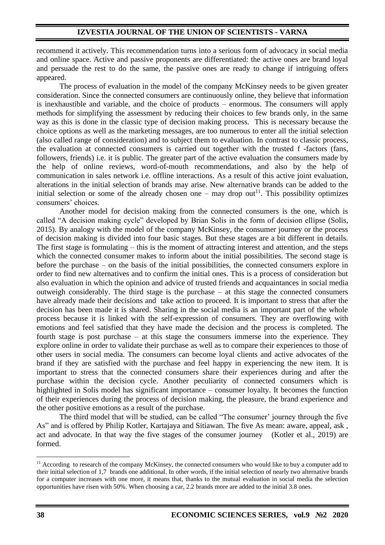recommend it actively. This recommendation turns into a serious form of advocacy in social media and online space. Active and passive proponents are differentiated: the active ones are brand loyal and persuade the rest to do the same, the passive ones are ready to change if intriguing offers appeared.

The process of evaluation in the model of the company McKinsey needs to be given greater consideration. Since the connected consumers are continuously online, they believe that information is inexhaustible and variable, and the choice of products – enormous. The consumers will apply methods for simplifying the assessment by reducing their choices to few brands only, in the same way as this is done in the classic type of decision making process. This is necessary because the choice options as well as the marketing messages, are too numerous to enter all the initial selection (also called range of consideration) and to subject them to evaluation. In contrast to classic process, the evaluation at connected consumers is carried out together with the trusted f -factors (fans, followers, friends) i.e. it is public. The greater part of the active evaluation the consumers made by the help of online reviews, word-of-mouth recommendations, and also by the help of communication in sales network i.e. offline interactions. As a result of this active joint evaluation, alterations in the initial selection of brands may arise. New alternative brands can be added to the initial selection or some of the already chosen one – may drop out<sup>11</sup>. This possibility optimizes consumers' choices.

Another model for decision making from the connected consumers is the one, which is called "A decision making cycle" developed by Brian Solis in the form of decision ellipse (Solis, 2015). By analogy with the model of the company McKinsey, the consumer journey or the process of decision making is divided into four basic stages. But these stages are a bit different in details. The first stage is formulating – this is the moment of attracting interest and attention, and the steps which the connected consumer makes to inform about the initial possibilities. The second stage is before the purchase – on the basis of the initial possibilities, the connected consumers explore in order to find new alternatives and to confirm the initial ones. This is a process of consideration but also evaluation in which the opinion and advice of trusted friends and acquaintances in social media outweigh considerably. The third stage is the purchase – at this stage the connected consumers have already made their decisions and take action to proceed. It is important to stress that after the decision has been made it is shared. Sharing in the social media is an important part of the whole process because it is linked with the self-expression of consumers. They are overflowing with emotions and feel satisfied that they have made the decision and the process is completed. The fourth stage is post purchase – at this stage the consumers immerse into the experience. They explore online in order to validate their purchase as well as to compare their experiences to those of other users in social media. The consumers can become loyal clients and active advocates of the brand if they are satisfied with the purchase and feel happy in experiencing the new item. It is important to stress that the connected consumers share their experiences during and after the purchase within the decision cycle. Another peculiarity of connected consumers which is highlighted in Solis model has significant importance – consumer loyalty. It becomes the function of their experiences during the process of decision making, the pleasure, the brand experience and the other positive emotions as a result of the purchase.

The third model that will be studied, can be called "The consumer' journey through the five As" and is offered by Philip Kotler, Kartajaya and Sitiawan. The five As mean: aware, appeal, ask , act and advocate. In that way the five stages of the consumer journey (Kotler et al., 2019) are formed.

 $11$  According to research of the company McKinsey, the connected consumers who would like to buy a computer add to their initial selection of 1,7 brands one additional. In other words, if the initial selection of nearly two alternative brands for a computer increases with one more, it means that, thanks to the mutual evaluation in social media the selection opportunities have risen with 50%. When choosing a car, 2.2 brands more are added to the initial 3.8 ones.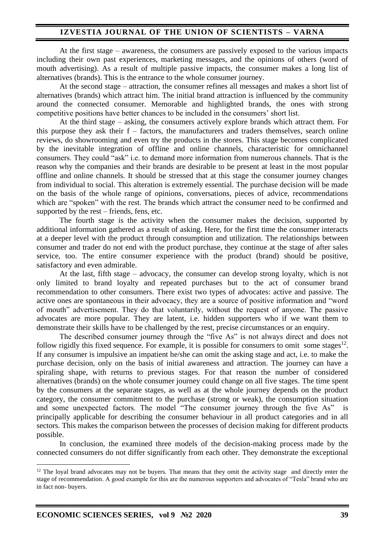## **IZVESTIA JOURNAL OF THE UNION OF SCIENTISTS – VARNA**

At the first stage – awareness, the consumers are passively exposed to the various impacts including their own past experiences, marketing messages, and the opinions of others (word of mouth advertising). As a result of multiple passive impacts, the consumer makes a long list of alternatives (brands). This is the entrance to the whole consumer journey.

At the second stage – attraction, the consumer refines all messages and makes a short list of alternatives (brands) which attract him. The initial brand attraction is influenced by the community around the connected consumer. Memorable and highlighted brands, the ones with strong competitive positions have better chances to be included in the consumers' short list.

At the third stage – asking, the consumers actively explore brands which attract them. For this purpose they ask their  $f -$  factors, the manufacturers and traders themselves, search online reviews, do showrooming and even try the products in the stores. This stage becomes complicated by the inevitable integration of offline and online channels, characteristic for omnichannel consumers. They could "ask" i.e. to demand more information from numerous channels. That is the reason why the companies and their brands are desirable to be present at least in the most popular offline and online channels. It should be stressed that at this stage the consumer journey changes from individual to social. This alteration is extremely essential. The purchase decision will be made on the basis of the whole range of opinions, conversations, pieces of advice, recommendations which are "spoken" with the rest. The brands which attract the consumer need to be confirmed and supported by the rest – friends, fens, etc.

The fourth stage is the activity when the consumer makes the decision, supported by additional information gathered as a result of asking. Here, for the first time the consumer interacts at a deeper level with the product through consumption and utilization. The relationships between consumer and trader do not end with the product purchase, they continue at the stage of after sales service, too. The entire consumer experience with the product (brand) should be positive, satisfactory and even admirable.

At the last, fifth stage – advocacy, the consumer can develop strong loyalty, which is not only limited to brand loyalty and repeated purchases but to the act of consumer brand recommendation to other consumers. There exist two types of advocates: active and passive. The active ones are spontaneous in their advocacy, they are a source of positive information and "word of mouth" advertisement. They do that voluntarily, without the request of anyone. The passive advocates are more popular. They are latent, i.e. hidden supporters who if we want them to demonstrate their skills have to be challenged by the rest, precise circumstances or an enquiry.

The described consumer journey through the "five As" is not always direct and does not follow rigidly this fixed sequence. For example, it is possible for consumers to omit some stages $^{12}$ . If any consumer is impulsive an impatient he/she can omit the asking stage and act, i.e. to make the purchase decision, only on the basis of initial awareness and attraction. The journey can have a spiraling shape, with returns to previous stages. For that reason the number of considered alternatives (brands) on the whole consumer journey could change on all five stages. The time spent by the consumers at the separate stages, as well as at the whole journey depends on the product category, the consumer commitment to the purchase (strong or weak), the consumption situation and some unexpected factors. The model "The consumer journey through the five As" is principally applicable for describing the consumer behaviour in all product categories and in all sectors. This makes the comparison between the processes of decision making for different products possible.

In conclusion, the examined three models of the decision-making process made by the connected consumers do not differ significantly from each other. They demonstrate the exceptional

 $12$  The loyal brand advocates may not be buyers. That means that they omit the activity stage and directly enter the stage of recommendation. A good example for this are the numerous supporters and advocates of "Tesla" brand who are in fact non- buyers.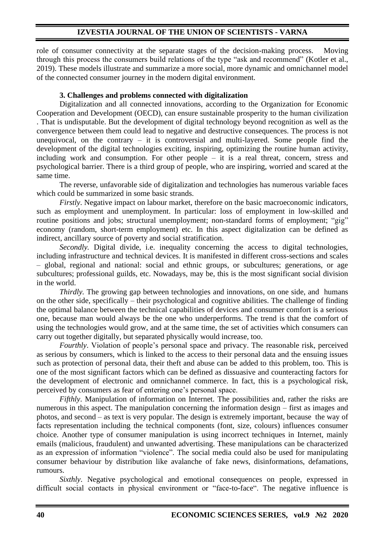# **IZVESTIA JOURNAL OF THE UNION OF SCIENTISTS - VARNA**

role of consumer connectivity at the separate stages of the decision-making process. Moving through this process the consumers build relations of the type "ask and recommend" (Kotler et al., 2019). These models illustrate and summarize a more social, more dynamic and omnichannel model of the connected consumer journey in the modern digital environment.

### **3. Challenges and problems connected with digitalization**

Digitalization and all connected innovations, according to the Organization for Economic Cooperation and Development (OECD), can ensure sustainable prosperity to the human civilization . That is undisputable. But the development of digital technology beyond recognition as well as the convergence between them could lead to negative and destructive consequences. The process is not unequivocal, on the contrary – it is controversial and multi-layered. Some people find the development of the digital technologies exciting, inspiring, optimizing the routine human activity, including work and consumption. For other people – it is a real threat, concern, stress and psychological barrier. There is a third group of people, who are inspiring, worried and scared at the same time.

The reverse, unfavorable side of digitalization and technologies has numerous variable faces which could be summarized in some basic strands.

*Firstly*. Negative impact on labour market, therefore on the basic macroeconomic indicators, such as employment and unemployment. In particular: loss of employment in low-skilled and routine positions and jobs; structural unemployment; non-standard forms of employment; "gig" economy (random, short-term employment) etc. In this aspect digitalization can be defined as indirect, ancillary source of poverty and social stratification.

*Secondly.* Digital divide, i.e. inequality concerning the access to digital technologies, including infrastructure and technical devices. It is manifested in different cross-sections and scales – global, regional and national: social and ethnic groups, or subcultures; generations, or age subcultures; professional guilds, etc. Nowadays, may be, this is the most significant social division in the world.

*Thirdly.* The growing gap between technologies and innovations, on one side, and humans on the other side, specifically – their psychological and cognitive abilities. The challenge of finding the optimal balance between the technical capabilities of devices and consumer comfort is a serious one, because man would always be the one who underperforms. The trend is that the comfort of using the technologies would grow, and at the same time, the set of activities which consumers can carry out together digitally, but separated physically would increase, too.

*Fourthly*. Violation of people's personal space and privacy. The reasonable risk, perceived as serious by consumers, which is linked to the access to their personal data and the ensuing issues such as protection of personal data, their theft and abuse can be added to this problem, too. This is one of the most significant factors which can be defined as dissuasive and counteracting factors for the development of electronic and omnichannel commerce. In fact, this is a psychological risk, perceived by consumers as fear of entering one's personal space.

*Fifthly*. Manipulation of information on Internet. The possibilities and, rather the risks are numerous in this aspect. The manipulation concerning the information design – first as images and photos, and second – as text is very popular. The design is extremely important, because the way of facts representation including the technical components (font, size, colours) influences consumer choice. Another type of consumer manipulation is using incorrect techniques in Internet, mainly emails (malicious, fraudulent) and unwanted advertising. These manipulations can be characterized as an expression of information "violence". The social media could also be used for manipulating consumer behaviour by distribution like avalanche of fake news, disinformations, defamations, rumours.

*Sixthly*. Negative psychological and emotional consequences on people, expressed in difficult social contacts in physical environment or "face-to-face". The negative influence is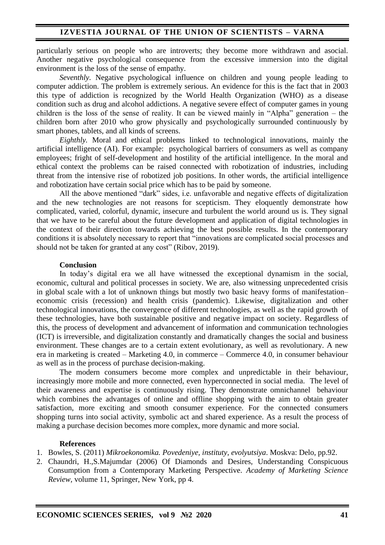particularly serious on people who are introverts; they become more withdrawn and asocial. Another negative psychological consequence from the excessive immersion into the digital environment is the loss of the sense of empathy.

*Seventhly*. Negative psychological influence on children and young people leading to computer addiction. The problem is extremely serious. An evidence for this is the fact that in 2003 this type of addiction is recognized by the World Health Organization (WHO) as a disease condition such as drug and alcohol addictions. A negative severe effect of computer games in young children is the loss of the sense of reality. It can be viewed mainly in "Alpha" generation – the children born after 2010 who grow physically and psychologically surrounded continuously by smart phones, tablets, and all kinds of screens.

*Eighthly.* Moral and ethical problems linked to technological innovations, mainly the artificial intelligence (AI). For example: psychological barriers of consumers as well as company employees; fright of self-development and hostility of the artificial intelligence. In the moral and ethical context the problems can be raised connected with robotization of industries, including threat from the intensive rise of robotized job positions. In other words, the artificial intelligence and robotization have certain social price which has to be paid by someone.

All the above mentioned "dark" sides, i.e. unfavorable and negative effects of digitalization and the new technologies are not reasons for scepticism. They eloquently demonstrate how complicated, varied, colorful, dynamic, insecure and turbulent the world around us is. They signal that we have to be careful about the future development and application of digital technologies in the context of their direction towards achieving the best possible results. In the contemporary conditions it is absolutely necessary to report that "innovations are complicated social processes and should not be taken for granted at any cost" (Ribov, 2019).

### **Conclusion**

In today's digital era we all have witnessed the exceptional dynamism in the social, economic, cultural and political processes in society. We are, also witnessing unprecedented crisis in global scale with a lot of unknown things but mostly two basic heavy forms of manifestation– economic crisis (recession) and health crisis (pandemic). Likewise, digitalization and other technological innovations, the convergence of different technologies, as well as the rapid growth of these technologies, have both sustainable positive and negative impact on society. Regardless of this, the process of development and advancement of information and communication technologies (ICT) is irreversible, and digitalization constantly and dramatically changes the social and business environment. These changes are to a certain extent evolutionary, as well as revolutionary. A new era in marketing is created – Marketing 4.0, in commerce – Commerce 4.0, in consumer behaviour as well as in the process of purchase decision-making.

The modern consumers become more complex and unpredictable in their behaviour, increasingly more mobile and more connected, even hyperconnected in social media. The level of their awareness and expertise is continuously rising. They demonstrate omnichannel behaviour which combines the advantages of online and offline shopping with the aim to obtain greater satisfaction, more exciting and smooth consumer experience. For the connected consumers shopping turns into social activity, symbolic act and shared experience. As a result the process of making a purchase decision becomes more complex, more dynamic and more social.

#### **References**

- 1. Bowles, S. (2011) *Mikroekonomika. Povedeniye, instituty, evolyutsiya*. Moskva: Delo, pp.92.
- 2. Chaundri, H.,S.Majumdar (2006) Of Diamonds and Desires, Understanding Conspicuous Consumption from a Contemporary Marketing Perspective. *Academy of Marketing Science Review,* volume 11, Springer, New York, pp 4.